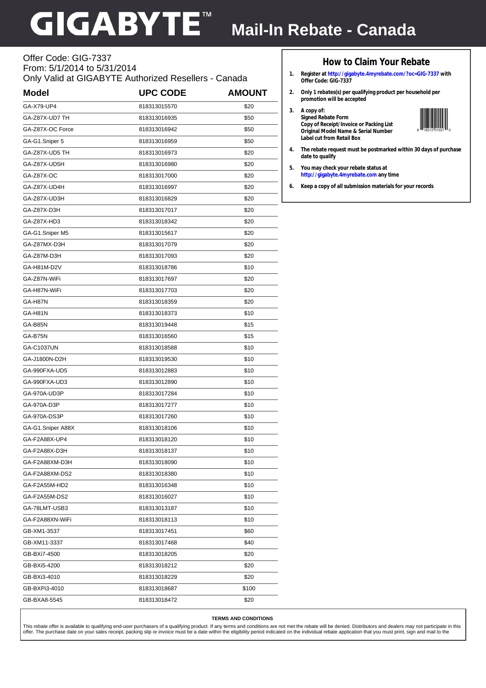# **GIGABYTE**

## **Mail-In Rebate - Canada**

#### Offer Code: GIG-7337 From: 5/1/2014 to 5/31/2014 Only Valid at GIGABYTE Authorized Resellers - Canada

| <b>Model</b>      | <b>UPC CODE</b> | <b>AMOUNT</b> |
|-------------------|-----------------|---------------|
| GA-X79-UP4        | 818313015570    | \$20          |
| GA-Z87X-UD7 TH    | 818313016935    | \$50          |
| GA-Z87X-OC Force  | 818313016942    | \$50          |
| GA-G1.Sniper 5    | 818313016959    | \$50          |
| GA-Z87X-UD5 TH    | 818313016973    | \$20          |
| GA-Z87X-UD5H      | 818313016980    | \$20          |
| GA-Z87X-OC        | 818313017000    | \$20          |
| GA-Z87X-UD4H      | 818313016997    | \$20          |
| GA-Z87X-UD3H      | 818313016829    | \$20          |
| GA-Z87X-D3H       | 818313017017    | \$20          |
| GA-Z87X-HD3       | 818313018342    | \$20          |
| GA-G1.Sniper M5   | 818313015617    | \$20          |
| GA-Z87MX-D3H      | 818313017079    | \$20          |
| GA-Z87M-D3H       | 818313017093    | \$20          |
| GA-H81M-D2V       | 818313018786    | \$10          |
| GA-Z87N-WiFi      | 818313017697    | \$20          |
| GA-H87N-WiFi      | 818313017703    | \$20          |
| GA-H87N           | 818313018359    | \$20          |
| GA-H81N           | 818313018373    | \$10          |
| GA-B85N           | 818313019448    | \$15          |
| GA-B75N           | 818313016560    | \$15          |
| GA-C1037UN        | 818313018588    | \$10          |
| GA-J1800N-D2H     | 818313019530    | \$10          |
| GA-990FXA-UD5     | 818313012883    | \$10          |
| GA-990FXA-UD3     | 818313012890    | \$10          |
| GA-970A-UD3P      | 818313017284    | \$10          |
| GA-970A-D3P       | 818313017277    | \$10          |
| GA-970A-DS3P      | 818313017260    | \$10          |
| GA-G1.Sniper A88X | 818313018106    | \$10          |
| GA-F2A88X-UP4     | 818313018120    | \$10          |
| GA-F2A88X-D3H     | 818313018137    | \$10          |
| GA-F2A88XM-D3H    | 818313018090    | \$10          |
| GA-F2A88XM-DS2    | 818313018380    | \$10          |
| GA-F2A55M-HD2     | 818313016348    | \$10          |
| GA-F2A55M-DS2     | 818313016027    | \$10          |
| GA-78LMT-USB3     | 818313013187    | \$10          |
| GA-F2A88XN-WiFi   | 818313018113    | \$10          |
| GB-XM1-3537       | 818313017451    | \$60          |
| GB-XM11-3337      | 818313017468    | \$40          |
| GB-BXi7-4500      | 818313018205    | \$20          |
| GB-BXi5-4200      | 818313018212    | \$20          |
| GB-BXi3-4010      | 818313018229    | \$20          |
| GB-BXPi3-4010     | 818313018687    | \$100         |
| GB-BXA8-5545      | 818313018472    | \$20          |

### **How to Claim Your Rebate**

- **1. Register at http://gigabyte.4myrebate.com/?oc=GIG-7337 with Offer Code: GIG-7337**
- **2. Only 1 rebates(s) per qualifying product per household per promotion will be accepted**
- **3. A copy of: Signed Rebate Form Copy of Receipt/Invoice or Packing List Original Model Name & Serial Number Label cut from Retail Box**



- **4. The rebate request must be postmarked within 30 days of purchase date to qualify**
- **5. You may check your rebate status at http://gigabyte.4myrebate.com any time**

**6. Keep a copy of all submission materials for your records**

#### **TERMS AND CONDITIONS**

This rebate offer is available to qualifying end-user purchasers of a qualifying product. If any terms and conditions are not met the rebate will be denied. Distributors and dealers may not participate in this<br>offer. The p